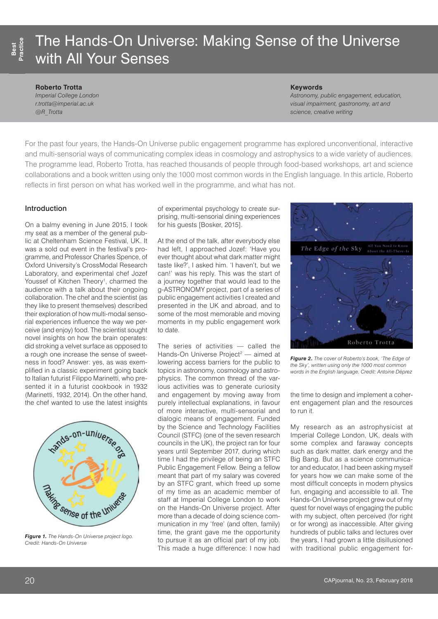# The Hands-On Universe: Making Sense of the Universe with All Your Senses

#### **Roberto Trotta**

*Imperial College London [r.trotta@imperial.ac.uk](mailto:r.trotta@imperial.ac.uk) @R\_Trotta*

#### **Keywords**

*Astronomy, public engagement, education, visual impairment, gastronomy, art and science, creative writing* 

For the past four years, the Hands-On Universe public engagement programme has explored unconventional, interactive and multi-sensorial ways of communicating complex ideas in cosmology and astrophysics to a wide variety of audiences. The programme lead, Roberto Trotta, has reached thousands of people through food-based workshops, art and science collaborations and a book written using only the 1000 most common words in the English language. In this article, Roberto reflects in first person on what has worked well in the programme, and what has not.

## Introduction

On a balmy evening in June 2015, I took my seat as a member of the general public at Cheltenham Science Festival, UK. It was a sold out event in the festival's programme, and Professor Charles Spence, of Oxford University's CrossModal Research Laboratory, and experimental chef Jozef Youssef of Kitchen Theory<sup>1</sup>, charmed the audience with a talk about their ongoing collaboration. The chef and the scientist (as they like to present themselves) described their exploration of how multi-modal sensorial experiences influence the way we perceive (and enjoy) food. The scientist sought novel insights on how the brain operates: did stroking a velvet surface as opposed to a rough one increase the sense of sweetness in food? Answer: yes, as was exemplified in a classic experiment going back to Italian futurist Filippo Marinetti, who presented it in a futurist cookbook in 1932 (Marinetti, 1932, 2014). On the other hand, the chef wanted to use the latest insights



*Figure 1. The Hands-On Universe project logo. Credit: Hands-On Universe*

of experimental psychology to create surprising, multi-sensorial dining experiences for his guests [Bosker, 2015].

At the end of the talk, after everybody else had left, I approached Jozef: 'Have you ever thought about what dark matter might taste like?', I asked him. 'I haven't, but we can!' was his reply. This was the start of a journey together that would lead to the g-ASTRONOMY project, part of a series of public engagement activities I created and presented in the UK and abroad, and to some of the most memorable and moving moments in my public engagement work to date.

The series of activities — called the Hands-On Universe Project<sup>2</sup> — aimed at lowering access barriers for the public to topics in astronomy, cosmology and astrophysics. The common thread of the various activities was to generate curiosity and engagement by moving away from purely intellectual explanations, in favour of more interactive, multi-sensorial and dialogic means of engagement. Funded by the Science and Technology Facilities Council (STFC) (one of the seven research councils in the UK), the project ran for four years until September 2017, during which time I had the privilege of being an STFC Public Engagement Fellow. Being a fellow meant that part of my salary was covered by an STFC grant, which freed up some of my time as an academic member of staff at Imperial College London to work on the Hands-On Universe project. After more than a decade of doing science communication in my 'free' (and often, family) time, the grant gave me the opportunity to pursue it as an official part of my job. This made a huge difference: I now had



*Figure 2. The cover of Roberto's book, 'The Edge of the Sky', written using only the 1000 most common words in the English language. Credit: Antoine Déprez*

the time to design and implement a coherent engagement plan and the resources to run it.

My research as an astrophysicist at Imperial College London, UK, deals with some complex and faraway concepts such as dark matter, dark energy and the Big Bang. But as a science communicator and educator, I had been asking myself for years how we can make some of the most difficult concepts in modern physics fun, engaging and accessible to all. The Hands-On Universe project grew out of my quest for novel ways of engaging the public with my subject, often perceived (for right or for wrong) as inaccessible. After giving hundreds of public talks and lectures over the years, I had grown a little disillusioned with traditional public engagement for-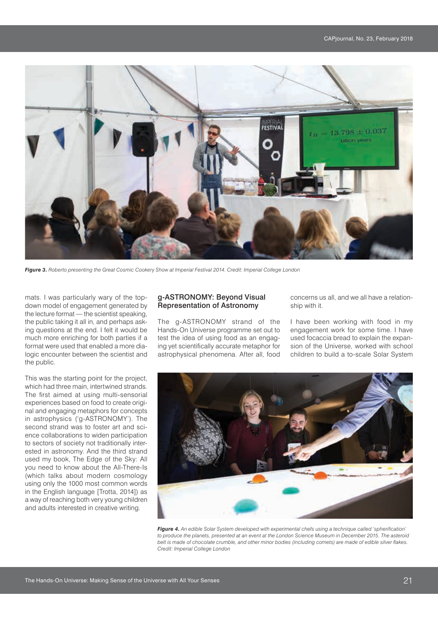

*Figure 3. Roberto presenting the Great Cosmic Cookery Show at Imperial Festival 2014. Credit: Imperial College London*

mats. I was particularly wary of the topdown model of engagement generated by the lecture format — the scientist speaking, the public taking it all in, and perhaps asking questions at the end. I felt it would be much more enriching for both parties if a format were used that enabled a more dialogic encounter between the scientist and the public.

This was the starting point for the project, which had three main, intertwined strands. The first aimed at using multi-sensorial experiences based on food to create original and engaging metaphors for concepts in astrophysics ('g-ASTRONOMY'). The second strand was to foster art and science collaborations to widen participation to sectors of society not traditionally interested in astronomy. And the third strand used my book, The Edge of the Sky: All you need to know about the All-There-Is (which talks about modern cosmology using only the 1000 most common words in the English language [Trotta, 2014]) as a way of reaching both very young children and adults interested in creative writing.

## g-ASTRONOMY: Beyond Visual Representation of Astronomy

The g-ASTRONOMY strand of the Hands-On Universe programme set out to test the idea of using food as an engaging yet scientifically accurate metaphor for astrophysical phenomena. After all, food concerns us all, and we all have a relationship with it.

I have been working with food in my engagement work for some time. I have used focaccia bread to explain the expansion of the Universe, worked with school children to build a to-scale Solar System



*Figure 4. An edible Solar System developed with experimental chefs using a technique called 'spherification' to produce the planets, presented at an event at the London Science Museum in December 2015. The asteroid belt is made of chocolate crumble, and other minor bodies (including comets) are made of edible silver flakes. Credit: Imperial College London*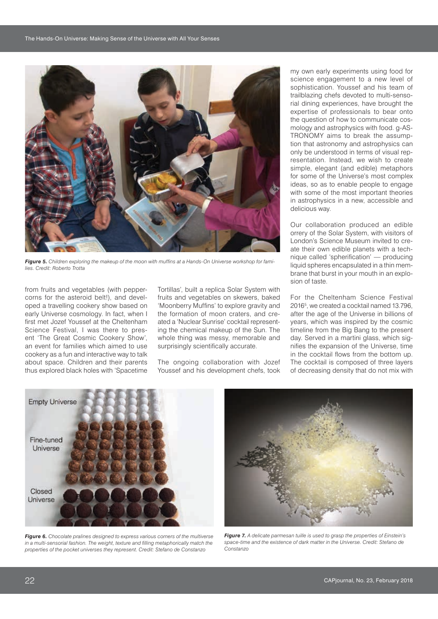

*Figure 5. Children exploring the makeup of the moon with muffins at a Hands-On Universe workshop for families. Credit: Roberto Trotta*

from fruits and vegetables (with peppercorns for the asteroid belt!), and developed a travelling cookery show based on early Universe cosmology. In fact, when I first met Jozef Youssef at the Cheltenham Science Festival, I was there to present 'The Great Cosmic Cookery Show', an event for families which aimed to use cookery as a fun and interactive way to talk about space. Children and their parents thus explored black holes with 'Spacetime Tortillas', built a replica Solar System with fruits and vegetables on skewers, baked 'Moonberry Muffins' to explore gravity and the formation of moon craters, and created a 'Nuclear Sunrise' cocktail representing the chemical makeup of the Sun. The whole thing was messy, memorable and surprisingly scientifically accurate.

The ongoing collaboration with Jozef Youssef and his development chefs, took my own early experiments using food for science engagement to a new level of sophistication. Youssef and his team of trailblazing chefs devoted to multi-sensorial dining experiences, have brought the expertise of professionals to bear onto the question of how to communicate cosmology and astrophysics with food. g-AS-TRONOMY aims to break the assumption that astronomy and astrophysics can only be understood in terms of visual representation. Instead, we wish to create simple, elegant (and edible) metaphors for some of the Universe's most complex ideas, so as to enable people to engage with some of the most important theories in astrophysics in a new, accessible and delicious way.

Our collaboration produced an edible orrery of the Solar System, with visitors of London's Science Museum invited to create their own edible planets with a technique called 'spherification' — producing liquid spheres encapsulated in a thin membrane that burst in your mouth in an explosion of taste.

For the Cheltenham Science Festival 20165 , we created a cocktail named 13.796, after the age of the Universe in billions of years, which was inspired by the cosmic timeline from the Big Bang to the present day. Served in a martini glass, which signifies the expansion of the Universe, time in the cocktail flows from the bottom up. The cocktail is composed of three layers of decreasing density that do not mix with



*Figure 6. Chocolate pralines designed to express various corners of the multiverse in a multi-sensorial fashion. The weight, texture and filling metaphorically match the properties of the pocket universes they represent. Credit: Stefano de Constanzo*



*Figure 7. A delicate parmesan tuille is used to grasp the properties of Einstein's*  space-time and the existence of dark matter in the Universe. Credit: Stefano de *Constanzo*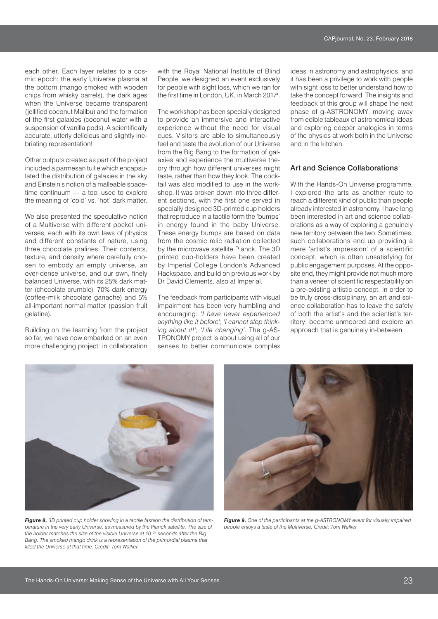each other. Each layer relates to a cosmic epoch: the early Universe plasma at the bottom (mango smoked with wooden chips from whisky barrels), the dark ages when the Universe became transparent (jellified coconut Malibu) and the formation of the first galaxies (coconut water with a suspension of vanilla pods). A scientifically accurate, utterly delicious and slightly inebriating representation!

Other outputs created as part of the project included a parmesan tuille which encapsulated the distribution of galaxies in the sky and Einstein's notion of a malleable spacetime continuum — a tool used to explore the meaning of 'cold' vs. 'hot' dark matter.

We also presented the speculative notion of a Multiverse with different pocket universes, each with its own laws of physics and different constants of nature, using three chocolate pralines. Their contents, texture, and density where carefully chosen to embody an empty universe, an over-dense universe, and our own, finely balanced Universe, with its 25% dark matter (chocolate crumble), 70% dark energy (coffee-milk chocolate ganache) and 5% all-important normal matter (passion fruit gelatine).

Building on the learning from the project so far, we have now embarked on an even more challenging project: in collaboration with the Royal National Institute of Blind People, we designed an event exclusively for people with sight loss, which we ran for the first time in London, UK, in March 2017<sup>4</sup> .

The workshop has been specially designed to provide an immersive and interactive experience without the need for visual cues. Visitors are able to simultaneously feel and taste the evolution of our Universe from the Big Bang to the formation of galaxies and experience the multiverse theory through how different universes might taste, rather than how they look. The cocktail was also modified to use in the workshop. It was broken down into three different sections, with the first one served in specially designed 3D-printed cup holders that reproduce in a tactile form the 'bumps' in energy found in the baby Universe. These energy bumps are based on data from the cosmic relic radiation collected by the microwave satellite Planck. The 3D printed cup-holders have been created by Imperial College London's Advanced Hackspace, and build on previous work by Dr David Clements, also at Imperial.

The feedback from participants with visual impairment has been very humbling and encouraging: *'I have never experienced anything like it before'; 'I cannot stop thinking about it!'; 'Life changing'*. The g-AS-TRONOMY project is about using all of our senses to better communicate complex ideas in astronomy and astrophysics, and it has been a privilege to work with people with sight loss to better understand how to take the concept forward. The insights and feedback of this group will shape the next phase of g-ASTRONOMY: moving away from edible tableaux of astronomical ideas and exploring deeper analogies in terms of the physics at work both in the Universe and in the kitchen.

#### Art and Science Collaborations

With the Hands-On Universe programme, I explored the arts as another route to reach a different kind of public than people already interested in astronomy. I have long been interested in art and science collaborations as a way of exploring a genuinely new territory between the two. Sometimes, such collaborations end up providing a mere 'artist's impression' of a scientific concept, which is often unsatisfying for public engagement purposes. At the opposite end, they might provide not much more than a veneer of scientific respectability on a pre-existing artistic concept. In order to be truly cross-disciplinary, an art and science collaboration has to leave the safety of both the artist's and the scientist's territory; become unmoored and explore an approach that is genuinely in-between.



*Figure 8. 3D printed cup holder showing in a tactile fashion the distribution of temperature in the very early Universe, as measured by the Planck satellite. The size of the holder matches the size of the visible Universe at 10–34 seconds after the Big Bang. The smoked mango drink is a representation of the primordial plasma that filled the Universe at that time. Credit: Tom Walker*



*Figure 9. One of the participants at the g-ASTRONOMY event for visually impaired people enjoys a taste of the Multiverse. Credit: Tom Walker*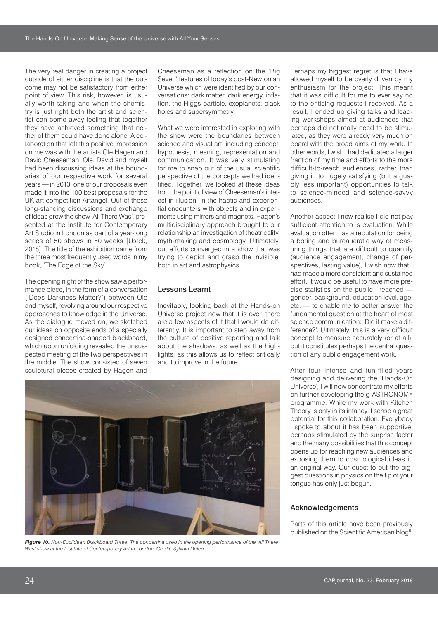The very real danger in creating a project outside of either discipline is that the outcome may not be satisfactory from either point of view. This risk, however, is usually worth taking and when the chemistry is just right both the artist and scientist can come away feeling that together they have achieved something that neither of them could have done alone. A collaboration that left this positive impression on me was with the artists Ole Hagen and David Cheeseman. Ole, David and myself had been discussing ideas at the boundaries of our respective work for several years — in 2013, one of our proposals even made it into the 100 best proposals for the UK art competition Artangel. Out of these long-standing discussions and exchange of ideas grew the show 'All There Was', presented at the Institute for Contemporary Art Studio in London as part of a year-long series of 50 shows in 50 weeks [Ustek, 2018]. The title of the exhibition came from the three most frequently used words in my book, 'The Edge of the Sky'.

The opening night of the show saw a performance piece, in the form of a conversation ('Does Darkness Matter?') between Ole and myself, revolving around our respective approaches to knowledge in the Universe. As the dialogue moved on, we sketched our ideas on opposite ends of a specially designed concertina-shaped blackboard, which upon unfolding revealed the unsuspected meeting of the two perspectives in the middle. The show consisted of seven sculptural pieces created by Hagen and Cheeseman as a reflection on the 'Big Seven' features of today's post-Newtonian Universe which were identified by our conversations: dark matter, dark energy, inflation, the Higgs particle, exoplanets, black holes and supersymmetry.

What we were interested in exploring with the show were the boundaries between science and visual art, including concept, hypothesis, meaning, representation and communication. It was very stimulating for me to snap out of the usual scientific perspective of the concepts we had identified. Together, we looked at these ideas from the point of view of Cheeseman's interest in illusion, in the haptic and experiential encounters with objects and in experiments using mirrors and magnets. Hagen's multidisciplinary approach brought to our relationship an investigation of theatricality, myth-making and cosmology. Ultimately, our efforts converged in a show that was trying to depict and grasp the invisible, both in art and astrophysics.

## Lessons Learnt

Inevitably, looking back at the Hands-on Universe project now that it is over, there are a few aspects of it that I would do differently. It is important to step away from the culture of positive reporting and talk about the shadows, as well as the highlights, as this allows us to reflect critically and to improve in the future.

Perhaps my biggest regret is that I have allowed myself to be overly driven by my enthusiasm for the project. This meant that it was difficult for me to ever say no to the enticing requests I received. As a result, I ended up giving talks and leading workshops aimed at audiences that perhaps did not really need to be stimulated, as they were already very much on board with the broad aims of my work. In other words, I wish I had dedicated a larger fraction of my time and efforts to the more difficult-to-reach audiences, rather than giving in to hugely satisfying (but arguably less important) opportunities to talk to science-minded and science-savvy audiences.

Another aspect I now realise I did not pay sufficient attention to is evaluation. While evaluation often has a reputation for being a boring and bureaucratic way of measuring things that are difficult to quantify (audience engagement, change of perspectives, lasting value), I wish now that I had made a more consistent and sustained effort. It would be useful to have more precise statistics on the public I reached gender, background, education level, age, etc. — to enable me to better answer the fundamental question at the heart of most science communication: 'Did it make a difference?'. Ultimately, this is a very difficult concept to measure accurately (or at all), but it constitutes perhaps the central question of any public engagement work.

After four intense and fun-filled years designing and delivering the 'Hands-On Universe', I will now concentrate my efforts on further developing the g-ASTRONOMY programme. While my work with Kitchen Theory is only in its infancy, I sense a great potential for this collaboration. Everybody I spoke to about it has been supportive, perhaps stimulated by the surprise factor and the many possibilities that this concept opens up for reaching new audiences and exposing them to cosmological ideas in an original way. Our quest to put the biggest questions in physics on the tip of your tongue has only just begun.

## Acknowledgements

Parts of this article have been previously published on the Scientific American blog<sup>6</sup>.



*Figure 10. Non-Euclidean Blackboard Three: The concertina used in the opening performance of the 'All There Was' show at the Institute of Contemporary Art in London. Credit: Sylvain Deleu*